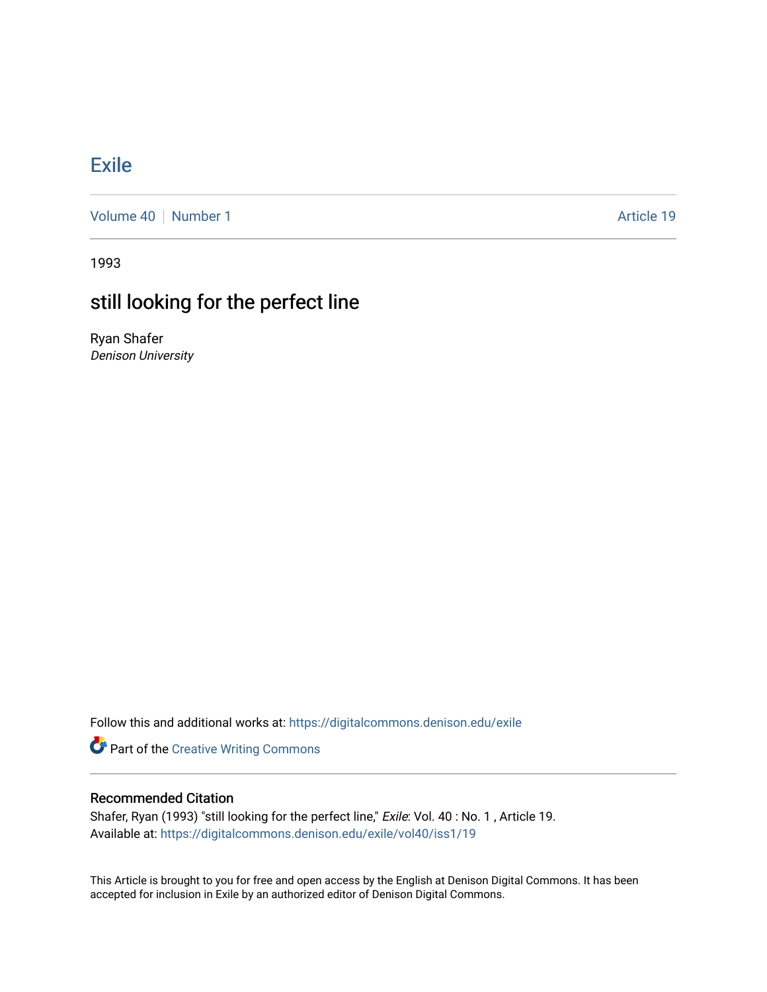## [Exile](https://digitalcommons.denison.edu/exile)

[Volume 40](https://digitalcommons.denison.edu/exile/vol40) [Number 1](https://digitalcommons.denison.edu/exile/vol40/iss1) Article 19

1993

# still looking for the perfect line

Ryan Shafer Denison University

Follow this and additional works at: [https://digitalcommons.denison.edu/exile](https://digitalcommons.denison.edu/exile?utm_source=digitalcommons.denison.edu%2Fexile%2Fvol40%2Fiss1%2F19&utm_medium=PDF&utm_campaign=PDFCoverPages) 

**Part of the Creative Writing Commons** 

### Recommended Citation

Shafer, Ryan (1993) "still looking for the perfect line," Exile: Vol. 40: No. 1, Article 19. Available at: [https://digitalcommons.denison.edu/exile/vol40/iss1/19](https://digitalcommons.denison.edu/exile/vol40/iss1/19?utm_source=digitalcommons.denison.edu%2Fexile%2Fvol40%2Fiss1%2F19&utm_medium=PDF&utm_campaign=PDFCoverPages)

This Article is brought to you for free and open access by the English at Denison Digital Commons. It has been accepted for inclusion in Exile by an authorized editor of Denison Digital Commons.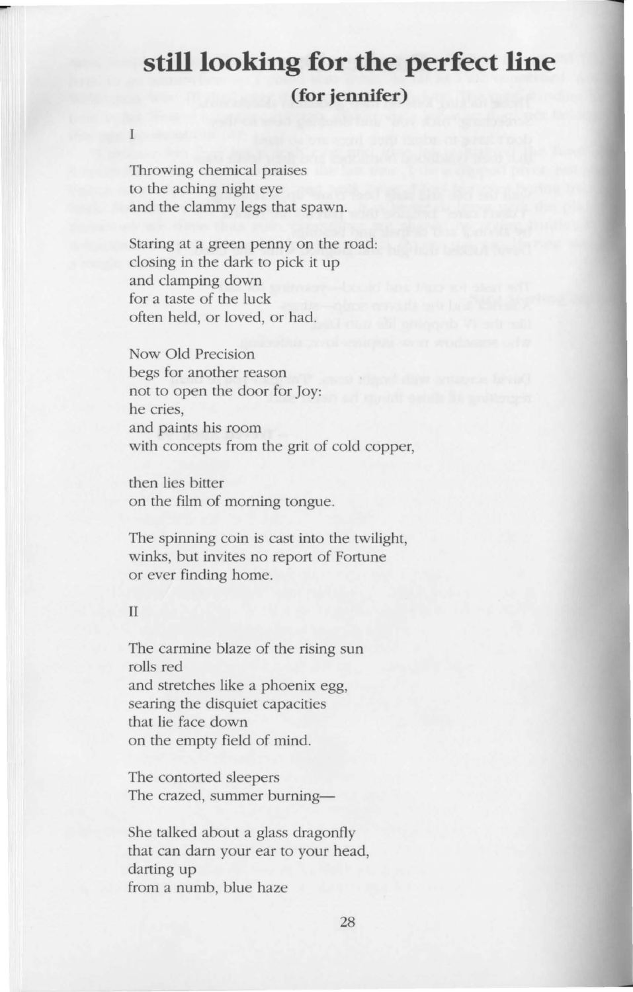### **still looking for the perfect line (for jennifer)**

Throwing chemical praises to the aching night eye and the clammy legs that spawn.

Staring at a green penny on the road: closing in the dark to pick it up and clamping down for a taste of the luck often held, or loved, or had.

Now Old Precision begs for another reason not to open the door for Joy: he cries, and paints his room with concepts from the grit of cold copper,

then lies bitter on the film of morning tongue.

The spinning coin is cast into the twilight, winks, but invites no report of Fortune or ever finding home.

#### II

The carmine blaze of the rising sun rolls red and stretches like a phoenix egg, searing the disquiet capacitie that lie face down on the empty field of mind.

The contorted sleepers The crazed, summer burning-

She talked about a glass dragonfly that can darn your ear to your head, darting up from a numb, blue haze